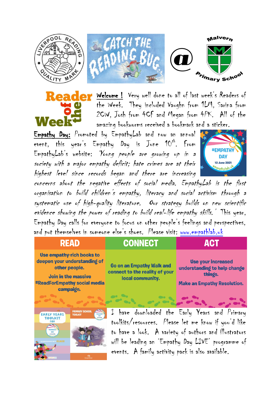



**COM** Welcome ! Very well done to all of last week's Readers of the Week. They included Vaughn from 1LM, Sarina from 2CW, Josh from 4CF and Megan from 4PK. All of the amazing bookworms received a bookmark and a sticker.

Empathy Day: Promoted by EmpathyLab and now an annual event, this year's Empathy Day is June  $10^{th}$ . From EmpathyLab's website: 'Young people are growing up in a society with a major empathy deficit; hate crimes are at their highest level since records began and there are increasing



concerns about the negative effects of social media. EmpathyLab is the first organisation to build children's empathy, literacy and social activism through a systematic use of high-quality literature. Our strategy builds on new scientific evidence showing the power of reading to build real-life empathy skills.' This year, Empathy Day calls for everyone to focus on other people's feelings and perspectives, and put themselves in someone else's shoes. Please visit: [www.empathlab.uk](http://www.empathlab.uk/)

## **READ**

**Use empathy-rich books to** deepen your understanding of other people.

**Join in the massive #ReadForEmpathy social media** campaign.

**CONNECT** 

**Go on an Empathy Walk and** connect to the reality of your local community.

 $\bullet$ 

**Use your increased** 

**ACT** 

understanding to help change things.

**Make an Empathy Resolution.** 



I have downloaded the Early Years and Primary toolkits/resources. Please let me know if you'd like to have a look. A variety of authors and illustrators will be leading an 'Empathy Day LIVE' programme of events. A family activity pack is also available.